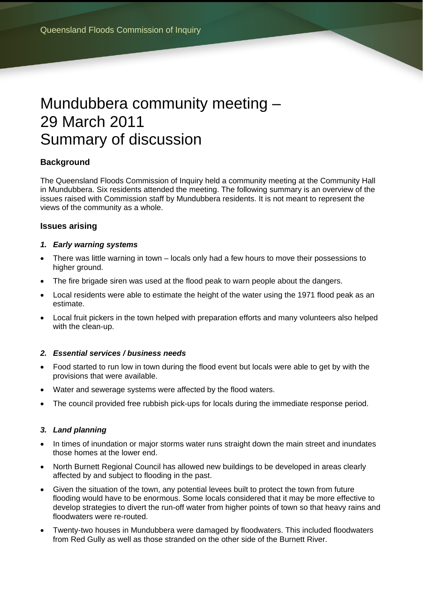# Mundubbera community meeting – 29 March 2011 Summary of discussion

# **Background**

The Queensland Floods Commission of Inquiry held a community meeting at the Community Hall in Mundubbera. Six residents attended the meeting. The following summary is an overview of the issues raised with Commission staff by Mundubbera residents. It is not meant to represent the views of the community as a whole.

## **Issues arising**

## *1. Early warning systems*

- There was little warning in town locals only had a few hours to move their possessions to higher ground.
- The fire brigade siren was used at the flood peak to warn people about the dangers.
- Local residents were able to estimate the height of the water using the 1971 flood peak as an estimate.
- Local fruit pickers in the town helped with preparation efforts and many volunteers also helped with the clean-up.

## *2. Essential services / business needs*

- Food started to run low in town during the flood event but locals were able to get by with the provisions that were available.
- Water and sewerage systems were affected by the flood waters.
- The council provided free rubbish pick-ups for locals during the immediate response period.

## *3. Land planning*

- In times of inundation or major storms water runs straight down the main street and inundates those homes at the lower end.
- North Burnett Regional Council has allowed new buildings to be developed in areas clearly affected by and subject to flooding in the past.
- Given the situation of the town, any potential levees built to protect the town from future flooding would have to be enormous. Some locals considered that it may be more effective to develop strategies to divert the run-off water from higher points of town so that heavy rains and floodwaters were re-routed.
- Twenty-two houses in Mundubbera were damaged by floodwaters. This included floodwaters from Red Gully as well as those stranded on the other side of the Burnett River.